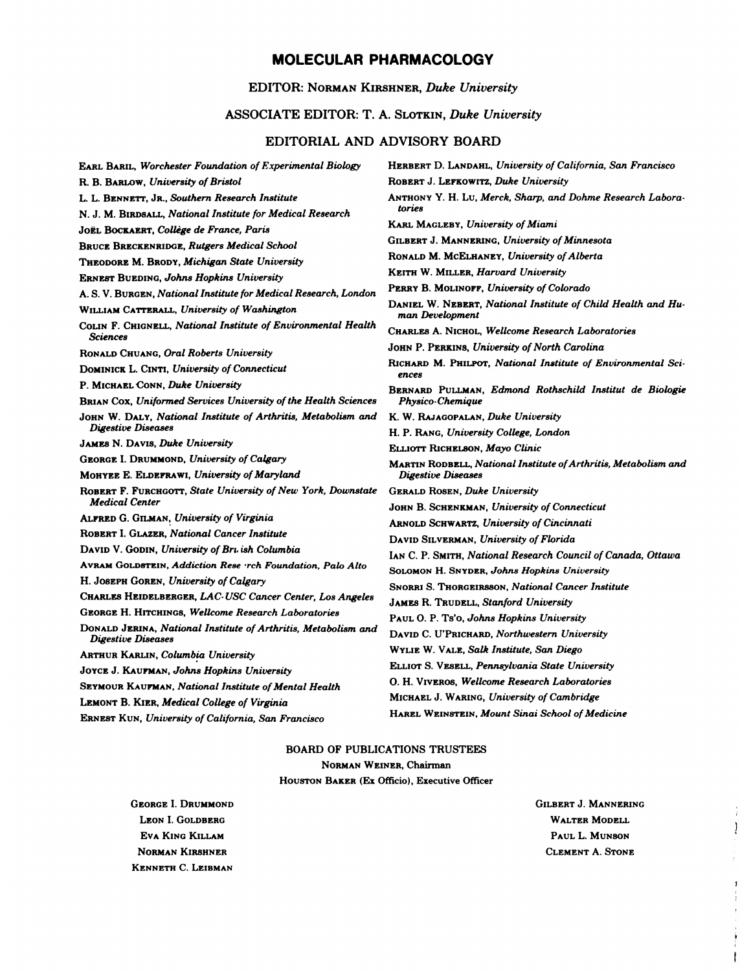# MOLECULAR PHARMACOLOGY

#### EDITOR: NORMAN KIRSHNER, Duke University

## ASSOCIATE EDITOR: T. A. SLOTKIN, Duke University

## EDITORIAL AND ADVISORY BOARD

| EARL BARIL, Worchester Foundation of Experimental Biology                                                     | <b>HERBERT D. LANDAHL, University of California, San Francisco</b>                           |
|---------------------------------------------------------------------------------------------------------------|----------------------------------------------------------------------------------------------|
| R. B. BARLOW, University of Bristol                                                                           | ROBERT J. LEFKOWITZ, Duke University                                                         |
| L. L. BENNETT, JR., Southern Research Institute<br>N. J. M. BIRDSALL, National Institute for Medical Research | ANTHONY Y. H. Lu, Merck, Sharp, and Dohme Research Labora-<br>tories                         |
| JOËL BOCKAERT, Collège de France, Paris                                                                       | <b>KARL MAGLEBY, University of Miami</b>                                                     |
| Bruce Breckenridge, Rutgers Medical School                                                                    | <b>GILBERT J. MANNERING, University of Minnesota</b>                                         |
| Theopore M. Bropy, Michigan State University                                                                  | RONALD M. MCELHANEY, University of Alberta                                                   |
| ERNEST BUEDING, Johns Hopkins University                                                                      | <b>KEITH W. MILLER, Harvard University</b>                                                   |
| A. S. V. Burgen, National Institute for Medical Research, London                                              | PERRY B. MOLINOFF, University of Colorado                                                    |
| WILLIAM CATTERALL, University of Washington                                                                   | DANIEL W. NEBERT, National Institute of Child Health and Hu-<br>man Development              |
| COLIN F. CHIGNELL, National Institute of Environmental Health<br><b>Sciences</b>                              | CHARLES A. NICHOL, Wellcome Research Laboratories                                            |
| Ronald Chuang, <i>Oral Roberts University</i>                                                                 | JOHN P. PERKINS, University of North Carolina                                                |
| DOMINICK L. CINTI, University of Connecticut                                                                  | RICHARD M. PHILPOT, National Institute of Environmental Sci-<br>ences                        |
| P. MICHAEL CONN, Duke University                                                                              | BERNARD PULLMAN, Edmond Rothschild Institut de Biologie                                      |
| BRIAN COX, Uniformed Services University of the Health Sciences                                               | <b>Physico-Chemique</b>                                                                      |
| JOHN W. DALY, National Institute of Arthritis, Metabolism and                                                 | K. W. RAJAGOPALAN, Duke University                                                           |
| Digestive Diseases<br>JAMES N. DAVIS, <i>Duke University</i>                                                  | H. P. RANG, University College, London                                                       |
|                                                                                                               | ELLIOTT RICHELSON, Mayo Clinic                                                               |
| <b>GEORGE I. DRUMMOND, University of Calgary</b><br>MOHYEE E. ELDEFRAWI, University of Maryland               | <b>MARTIN RODBELL, National Institute of Arthritis, Metabolism and</b><br>Digestive Diseases |
| ROBERT F. FURCHGOTT, State University of New York, Downstate                                                  | <b>GERALD ROSEN, Duke University</b>                                                         |
| <b>Medical Center</b>                                                                                         | JOHN B. SCHENKMAN, University of Connecticut                                                 |
| ALFRED G. GILMAN, University of Virginia                                                                      | <b>ARNOLD SCHWARTZ, University of Cincinnati</b>                                             |
| ROBERT I. GLAZER, National Cancer Institute                                                                   | DAVID SILVERMAN, University of Florida                                                       |
| DAVID V. GODIN, University of Bru ish Columbia                                                                | IAN C. P. SMITH, National Research Council of Canada, Ottawa                                 |
| AVRAM GOLDSTEIN, Addiction Rese rch Foundation, Palo Alto                                                     | <b>SOLOMON H. SNYDER, Johns Hopkins University</b>                                           |
| H. JOSEPH GOREN, University of Calgary                                                                        | <b>SNORRI S. THORGEIRSSON, National Cancer Institute</b>                                     |
| CHARLES HEIDELBERGER, LAC-USC Cancer Center, Los Angeles                                                      | <b>JAMES R. TRUDELL, Stanford University</b>                                                 |
| GEORGE H. HITCHINGS, Wellcome Research Laboratories                                                           | PAUL O. P. Ts'o, Johns Hopkins University                                                    |
| DONALD JERINA, National Institute of Arthritis, Metabolism and<br><b>Digestive Diseases</b>                   | DAVID C. U'PRICHARD, Northwestern University                                                 |
| Arthur Karlın, Columbia University                                                                            | WYLIE W. VALE, Salk Institute, San Diego                                                     |
| JOYCE J. KAUFMAN, Johns Hopkins University                                                                    | ELLIOT S. VESELL, Pennsylvania State University                                              |
| Seymour Kau <b>rma</b> n, <i>National Institute of Mental Health</i>                                          | O. H. VIVEROS, Wellcome Research Laboratories                                                |
| LEMONT B. KIER, <i>Medical College of Virginia</i>                                                            | MICHAEL J. WARING, University of Cambridge                                                   |
| ERNEST KUN, University of California, San Francisco                                                           | HAREL WEINSTEIN, Mount Sinai School of Medicine                                              |
|                                                                                                               |                                                                                              |

### **BOARD OF PUBLICATIONS TRUSTEES** NORMAN WEINER, Chairman HOUSTON BAKER (Ex Officio), Executive Officer

**GEORGE I. DRUMMOND** LEON I. GOLDBERG EVA KING KILLAM NORMAN KIRSHNER KENNETH C. LEIBMAN

**GILBERT J. MANNERING** WALTER MODELL PAUL L. MUNSON CLEMENT A. STONE

Ĵ.

 $\begin{matrix} \end{matrix}$ 

ł.

 $\pmb{\jmath}$ ł

Ť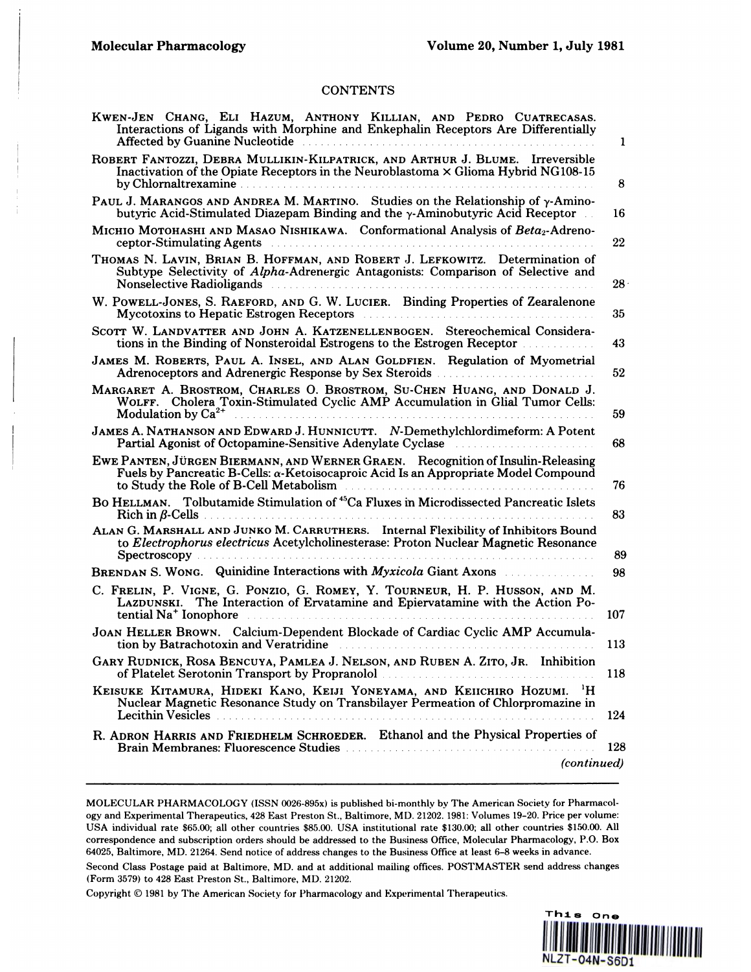#### **CONTENTS**

| KWEN-JEN CHANG, ELI HAZUM, ANTHONY KILLIAN, AND PEDRO CUATRECASAS.<br>Interactions of Ligands with Morphine and Enkephalin Receptors Are Differentially<br>Affected by Guanine Nucleotide <b>Electronic Contract Contract of Contract Contract Contract Contract Contract Contract Contract Contract Contract Contract Contract Contract Contract Contract Contract Contract Contract Contr</b> | 1               |
|-------------------------------------------------------------------------------------------------------------------------------------------------------------------------------------------------------------------------------------------------------------------------------------------------------------------------------------------------------------------------------------------------|-----------------|
| ROBERT FANTOZZI, DEBRA MULLIKIN-KILPATRICK, AND ARTHUR J. BLUME. Irreversible<br>Inactivation of the Opiate Receptors in the Neuroblastoma × Glioma Hybrid NG108-15                                                                                                                                                                                                                             | 8               |
| PAUL J. MARANGOS AND ANDREA M. MARTINO. Studies on the Relationship of y-Amino-<br>butyric Acid-Stimulated Diazepam Binding and the $\gamma$ -Aminobutyric Acid Receptor                                                                                                                                                                                                                        | 16              |
| MICHIO MOTOHASHI AND MASAO NISHIKAWA. Conformational Analysis of Beta2-Adreno-<br>ceptor-Stimulating Agents entertainment continuous contract of the contract of the contract of the contract of                                                                                                                                                                                                | 22              |
| THOMAS N. LAVIN, BRIAN B. HOFFMAN, AND ROBERT J. LEFKOWITZ. Determination of<br>Subtype Selectivity of Alpha-Adrenergic Antagonists: Comparison of Selective and<br>Nonselective Radioligands                                                                                                                                                                                                   | 28 <sup>1</sup> |
| W. POWELL-JONES, S. RAEFORD, AND G. W. LUCIER. Binding Properties of Zearalenone                                                                                                                                                                                                                                                                                                                | 35              |
| SCOTT W. LANDVATTER AND JOHN A. KATZENELLENBOGEN. Stereochemical Considera-<br>tions in the Binding of Nonsteroidal Estrogens to the Estrogen Receptor                                                                                                                                                                                                                                          | 43              |
| JAMES M. ROBERTS, PAUL A. INSEL, AND ALAN GOLDFIEN. Regulation of Myometrial                                                                                                                                                                                                                                                                                                                    | 52              |
| MARGARET A. BROSTROM, CHARLES O. BROSTROM, SU-CHEN HUANG, AND DONALD J.<br>WOLFF. Cholera Toxin-Stimulated Cyclic AMP Accumulation in Glial Tumor Cells:                                                                                                                                                                                                                                        | 59              |
| JAMES A. NATHANSON AND EDWARD J. HUNNICUTT. N-Demethylchlordimeform: A Potent<br>Partial Agonist of Octopamine-Sensitive Adenylate Cyclase                                                                                                                                                                                                                                                      | 68              |
| EWE PANTEN, JÜRGEN BIERMANN, AND WERNER GRAEN. Recognition of Insulin-Releasing<br>Fuels by Pancreatic B-Cells: α-Ketoisocaproic Acid Is an Appropriate Model Compound<br>to Study the Role of B-Cell Metabolism                                                                                                                                                                                | 76              |
| BO HELLMAN. Tolbutamide Stimulation of <sup>45</sup> Ca Fluxes in Microdissected Pancreatic Islets                                                                                                                                                                                                                                                                                              | 83              |
| ALAN G. MARSHALL AND JUNKO M. CARRUTHERS. Internal Flexibility of Inhibitors Bound<br>to Electrophorus electricus Acetylcholinesterase: Proton Nuclear Magnetic Resonance                                                                                                                                                                                                                       | 89              |
| BRENDAN S. WONG. Quinidine Interactions with <i>Myxicola</i> Giant Axons                                                                                                                                                                                                                                                                                                                        | 98              |
| C. FRELIN, P. VIGNE, G. PONZIO, G. ROMEY, Y. TOURNEUR, H. P. HUSSON, AND M.<br>LAZDUNSKI. The Interaction of Ervatamine and Epiervatamine with the Action Po-<br>tential Na <sup>+</sup> Ionophore                                                                                                                                                                                              | 107             |
| JOAN HELLER BROWN. Calcium-Dependent Blockade of Cardiac Cyclic AMP Accumula-<br>tion by Batrachotoxin and Veratridine <b>Election Contract of August</b> 2014 1996                                                                                                                                                                                                                             | 113             |
| GARY RUDNICK, ROSA BENCUYA, PAMLEA J. NELSON, AND RUBEN A. ZITO, JR. Inhibition<br>of Platelet Serotonin Transport by Propranolol                                                                                                                                                                                                                                                               | 118             |
| KEISUKE KITAMURA, HIDEKI KANO, KEIJI YONEYAMA, AND KEIICHIRO HOZUMI. <sup>1</sup> H<br>Nuclear Magnetic Resonance Study on Transbilayer Permeation of Chlorpromazine in<br>Lecithin Vesicles                                                                                                                                                                                                    | 124             |
| R. ADRON HARRIS AND FRIEDHELM SCHROEDER. Ethanol and the Physical Properties of                                                                                                                                                                                                                                                                                                                 | 128             |
| (continued)                                                                                                                                                                                                                                                                                                                                                                                     |                 |

MOLECULAR PHARMACOLOGY (ISSN 0026-895x) is published bi-monthly by The American Society for Pharmacol ogy and Experimental Therapeutics, 428 East Preston St., Baltimore, MD. 21202. 1981: Volumes 19-20. Price per volume: USA individual rate \$65.00; all other countries \$85.00. USA institutional rate \$130.00; all other countries \$150.00. All correspondence and subscription orders should be addressed to the Business Office, Molecular Pharmacology, P.O. Box 64025, Baltimore, MD. 21264. Send notice of address changes to the Business Office at least 6-8 weeks in advance.

Second Class Postage paid at Baltimore, MD. and at additional mailing offices. POSTMASTER send address changes (Form 3579) to 428 East Preston St., Baltimore, MD. 21202.

Copyright © 1981 by The American Society for Pharmacology and Experimental Therapeutics.